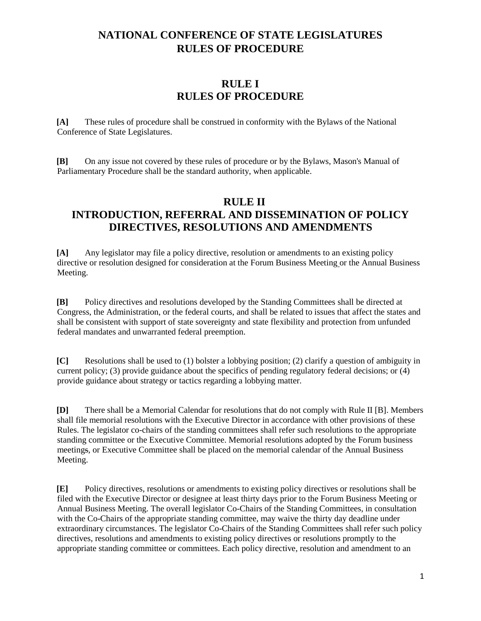#### **RULE I RULES OF PROCEDURE**

**[A]** These rules of procedure shall be construed in conformity with the Bylaws of the National Conference of State Legislatures.

**[B]** On any issue not covered by these rules of procedure or by the Bylaws, Mason's Manual of Parliamentary Procedure shall be the standard authority, when applicable.

#### **RULE II INTRODUCTION, REFERRAL AND DISSEMINATION OF POLICY DIRECTIVES, RESOLUTIONS AND AMENDMENTS**

**[A]** Any legislator may file a policy directive, resolution or amendments to an existing policy directive or resolution designed for consideration at the Forum Business Meeting or the Annual Business Meeting.

**[B]** Policy directives and resolutions developed by the Standing Committees shall be directed at Congress, the Administration, or the federal courts, and shall be related to issues that affect the states and shall be consistent with support of state sovereignty and state flexibility and protection from unfunded federal mandates and unwarranted federal preemption.

**[C]** Resolutions shall be used to (1) bolster a lobbying position; (2) clarify a question of ambiguity in current policy; (3) provide guidance about the specifics of pending regulatory federal decisions; or (4) provide guidance about strategy or tactics regarding a lobbying matter.

**[D]** There shall be a Memorial Calendar for resolutions that do not comply with Rule II [B]. Members shall file memorial resolutions with the Executive Director in accordance with other provisions of these Rules. The legislator co-chairs of the standing committees shall refer such resolutions to the appropriate standing committee or the Executive Committee. Memorial resolutions adopted by the Forum business meetings, or Executive Committee shall be placed on the memorial calendar of the Annual Business Meeting.

**[E]** Policy directives, resolutions or amendments to existing policy directives or resolutions shall be filed with the Executive Director or designee at least thirty days prior to the Forum Business Meeting or Annual Business Meeting. The overall legislator Co-Chairs of the Standing Committees, in consultation with the Co-Chairs of the appropriate standing committee, may waive the thirty day deadline under extraordinary circumstances. The legislator Co-Chairs of the Standing Committees shall refer such policy directives, resolutions and amendments to existing policy directives or resolutions promptly to the appropriate standing committee or committees. Each policy directive, resolution and amendment to an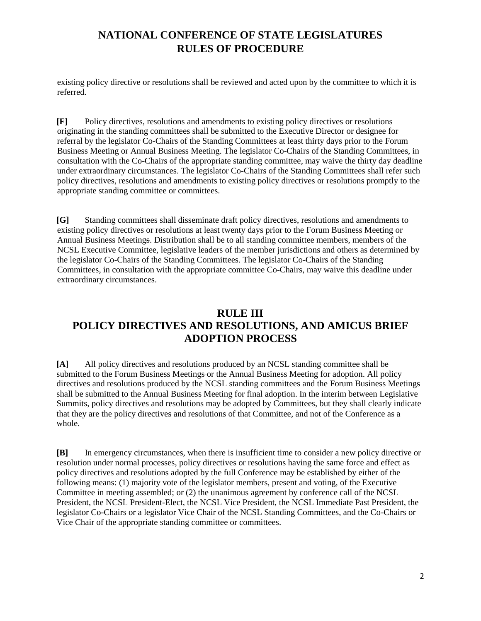existing policy directive or resolutions shall be reviewed and acted upon by the committee to which it is referred.

**[F]** Policy directives, resolutions and amendments to existing policy directives or resolutions originating in the standing committees shall be submitted to the Executive Director or designee for referral by the legislator Co-Chairs of the Standing Committees at least thirty days prior to the Forum Business Meeting or Annual Business Meeting. The legislator Co-Chairs of the Standing Committees, in consultation with the Co-Chairs of the appropriate standing committee, may waive the thirty day deadline under extraordinary circumstances. The legislator Co-Chairs of the Standing Committees shall refer such policy directives, resolutions and amendments to existing policy directives or resolutions promptly to the appropriate standing committee or committees.

**[G]** Standing committees shall disseminate draft policy directives, resolutions and amendments to existing policy directives or resolutions at least twenty days prior to the Forum Business Meeting or Annual Business Meetings. Distribution shall be to all standing committee members, members of the NCSL Executive Committee, legislative leaders of the member jurisdictions and others as determined by the legislator Co-Chairs of the Standing Committees. The legislator Co-Chairs of the Standing Committees, in consultation with the appropriate committee Co-Chairs, may waive this deadline under extraordinary circumstances.

### **RULE III POLICY DIRECTIVES AND RESOLUTIONS, AND AMICUS BRIEF ADOPTION PROCESS**

**[A]** All policy directives and resolutions produced by an NCSL standing committee shall be submitted to the Forum Business Meetings or the Annual Business Meeting for adoption. All policy directives and resolutions produced by the NCSL standing committees and the Forum Business Meetings shall be submitted to the Annual Business Meeting for final adoption. In the interim between Legislative Summits, policy directives and resolutions may be adopted by Committees, but they shall clearly indicate that they are the policy directives and resolutions of that Committee, and not of the Conference as a whole.

**[B]** In emergency circumstances, when there is insufficient time to consider a new policy directive or resolution under normal processes, policy directives or resolutions having the same force and effect as policy directives and resolutions adopted by the full Conference may be established by either of the following means: (1) majority vote of the legislator members, present and voting, of the Executive Committee in meeting assembled; or (2) the unanimous agreement by conference call of the NCSL President, the NCSL President-Elect, the NCSL Vice President, the NCSL Immediate Past President, the legislator Co-Chairs or a legislator Vice Chair of the NCSL Standing Committees, and the Co-Chairs or Vice Chair of the appropriate standing committee or committees.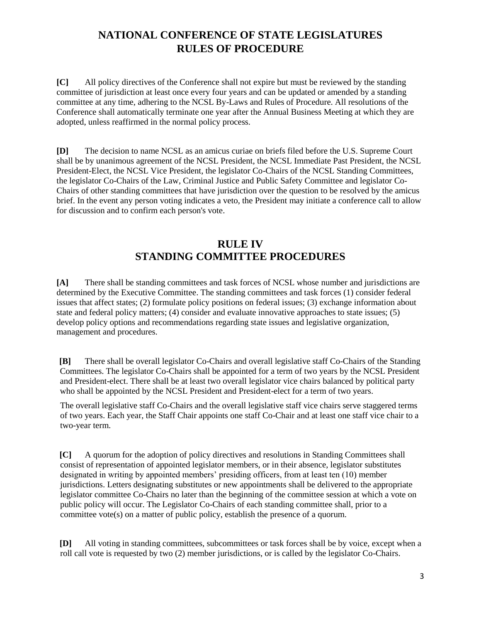**[C]** All policy directives of the Conference shall not expire but must be reviewed by the standing committee of jurisdiction at least once every four years and can be updated or amended by a standing committee at any time, adhering to the NCSL By-Laws and Rules of Procedure. All resolutions of the Conference shall automatically terminate one year after the Annual Business Meeting at which they are adopted, unless reaffirmed in the normal policy process.

**[D]** The decision to name NCSL as an amicus curiae on briefs filed before the U.S. Supreme Court shall be by unanimous agreement of the NCSL President, the NCSL Immediate Past President, the NCSL President-Elect, the NCSL Vice President, the legislator Co-Chairs of the NCSL Standing Committees, the legislator Co-Chairs of the Law, Criminal Justice and Public Safety Committee and legislator Co-Chairs of other standing committees that have jurisdiction over the question to be resolved by the amicus brief. In the event any person voting indicates a veto, the President may initiate a conference call to allow for discussion and to confirm each person's vote.

#### **RULE IV STANDING COMMITTEE PROCEDURES**

**[A]** There shall be standing committees and task forces of NCSL whose number and jurisdictions are determined by the Executive Committee. The standing committees and task forces (1) consider federal issues that affect states; (2) formulate policy positions on federal issues; (3) exchange information about state and federal policy matters; (4) consider and evaluate innovative approaches to state issues; (5) develop policy options and recommendations regarding state issues and legislative organization, management and procedures.

**[B]** There shall be overall legislator Co-Chairs and overall legislative staff Co-Chairs of the Standing Committees. The legislator Co-Chairs shall be appointed for a term of two years by the NCSL President and President-elect. There shall be at least two overall legislator vice chairs balanced by political party who shall be appointed by the NCSL President and President-elect for a term of two years.

The overall legislative staff Co-Chairs and the overall legislative staff vice chairs serve staggered terms of two years. Each year, the Staff Chair appoints one staff Co-Chair and at least one staff vice chair to a two-year term.

**[C]** A quorum for the adoption of policy directives and resolutions in Standing Committees shall consist of representation of appointed legislator members, or in their absence, legislator substitutes designated in writing by appointed members' presiding officers, from at least ten (10) member jurisdictions. Letters designating substitutes or new appointments shall be delivered to the appropriate legislator committee Co-Chairs no later than the beginning of the committee session at which a vote on public policy will occur. The Legislator Co-Chairs of each standing committee shall, prior to a committee vote(s) on a matter of public policy, establish the presence of a quorum.

**[D]** All voting in standing committees, subcommittees or task forces shall be by voice, except when a roll call vote is requested by two (2) member jurisdictions, or is called by the legislator Co-Chairs.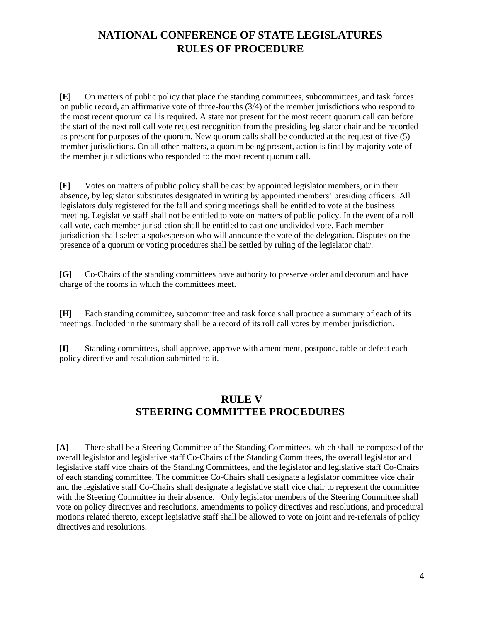**[E]** On matters of public policy that place the standing committees, subcommittees, and task forces on public record, an affirmative vote of three-fourths (3/4) of the member jurisdictions who respond to the most recent quorum call is required. A state not present for the most recent quorum call can before the start of the next roll call vote request recognition from the presiding legislator chair and be recorded as present for purposes of the quorum. New quorum calls shall be conducted at the request of five (5) member jurisdictions. On all other matters, a quorum being present, action is final by majority vote of the member jurisdictions who responded to the most recent quorum call.

**[F]** Votes on matters of public policy shall be cast by appointed legislator members, or in their absence, by legislator substitutes designated in writing by appointed members' presiding officers. All legislators duly registered for the fall and spring meetings shall be entitled to vote at the business meeting. Legislative staff shall not be entitled to vote on matters of public policy. In the event of a roll call vote, each member jurisdiction shall be entitled to cast one undivided vote. Each member jurisdiction shall select a spokesperson who will announce the vote of the delegation. Disputes on the presence of a quorum or voting procedures shall be settled by ruling of the legislator chair.

**[G]** Co-Chairs of the standing committees have authority to preserve order and decorum and have charge of the rooms in which the committees meet.

**[H]** Each standing committee, subcommittee and task force shall produce a summary of each of its meetings. Included in the summary shall be a record of its roll call votes by member jurisdiction.

**[I]** Standing committees, shall approve, approve with amendment, postpone, table or defeat each policy directive and resolution submitted to it.

#### **RULE V STEERING COMMITTEE PROCEDURES**

**[A]** There shall be a Steering Committee of the Standing Committees, which shall be composed of the overall legislator and legislative staff Co-Chairs of the Standing Committees, the overall legislator and legislative staff vice chairs of the Standing Committees, and the legislator and legislative staff Co-Chairs of each standing committee. The committee Co-Chairs shall designate a legislator committee vice chair and the legislative staff Co-Chairs shall designate a legislative staff vice chair to represent the committee with the Steering Committee in their absence. Only legislator members of the Steering Committee shall vote on policy directives and resolutions, amendments to policy directives and resolutions, and procedural motions related thereto, except legislative staff shall be allowed to vote on joint and re-referrals of policy directives and resolutions.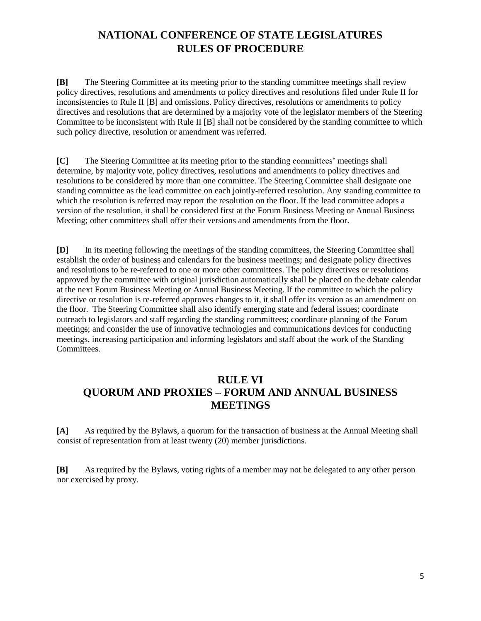**[B]** The Steering Committee at its meeting prior to the standing committee meetings shall review policy directives, resolutions and amendments to policy directives and resolutions filed under Rule II for inconsistencies to Rule II [B] and omissions. Policy directives, resolutions or amendments to policy directives and resolutions that are determined by a majority vote of the legislator members of the Steering Committee to be inconsistent with Rule II [B] shall not be considered by the standing committee to which such policy directive, resolution or amendment was referred.

**[C]** The Steering Committee at its meeting prior to the standing committees' meetings shall determine, by majority vote, policy directives, resolutions and amendments to policy directives and resolutions to be considered by more than one committee. The Steering Committee shall designate one standing committee as the lead committee on each jointly-referred resolution. Any standing committee to which the resolution is referred may report the resolution on the floor. If the lead committee adopts a version of the resolution, it shall be considered first at the Forum Business Meeting or Annual Business Meeting; other committees shall offer their versions and amendments from the floor.

**[D]** In its meeting following the meetings of the standing committees, the Steering Committee shall establish the order of business and calendars for the business meetings; and designate policy directives and resolutions to be re-referred to one or more other committees. The policy directives or resolutions approved by the committee with original jurisdiction automatically shall be placed on the debate calendar at the next Forum Business Meeting or Annual Business Meeting. If the committee to which the policy directive or resolution is re-referred approves changes to it, it shall offer its version as an amendment on the floor. The Steering Committee shall also identify emerging state and federal issues; coordinate outreach to legislators and staff regarding the standing committees; coordinate planning of the Forum meetings; and consider the use of innovative technologies and communications devices for conducting meetings, increasing participation and informing legislators and staff about the work of the Standing Committees.

### **RULE VI QUORUM AND PROXIES – FORUM AND ANNUAL BUSINESS MEETINGS**

**[A]** As required by the Bylaws, a quorum for the transaction of business at the Annual Meeting shall consist of representation from at least twenty (20) member jurisdictions.

**[B]** As required by the Bylaws, voting rights of a member may not be delegated to any other person nor exercised by proxy.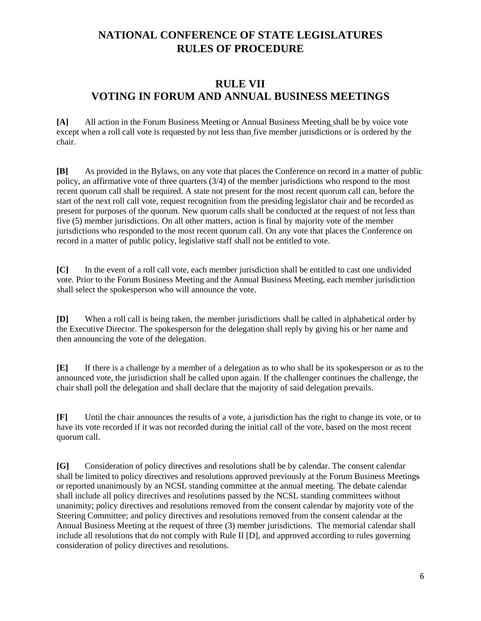#### **RULE VII VOTING IN FORUM AND ANNUAL BUSINESS MEETINGS**

**[A]** All action in the Forum Business Meeting or Annual Business Meeting shall be by voice vote except when a roll call vote is requested by not less than five member jurisdictions or is ordered by the chair.

**[B]** As provided in the Bylaws, on any vote that places the Conference on record in a matter of public policy, an affirmative vote of three quarters (3/4) of the member jurisdictions who respond to the most recent quorum call shall be required. A state not present for the most recent quorum call can, before the start of the next roll call vote, request recognition from the presiding legislator chair and be recorded as present for purposes of the quorum. New quorum calls shall be conducted at the request of not less than five (5) member jurisdictions. On all other matters, action is final by majority vote of the member jurisdictions who responded to the most recent quorum call. On any vote that places the Conference on record in a matter of public policy, legislative staff shall not be entitled to vote.

**[C]** In the event of a roll call vote, each member jurisdiction shall be entitled to cast one undivided vote. Prior to the Forum Business Meeting and the Annual Business Meeting, each member jurisdiction shall select the spokesperson who will announce the vote.

**[D]** When a roll call is being taken, the member jurisdictions shall be called in alphabetical order by the Executive Director. The spokesperson for the delegation shall reply by giving his or her name and then announcing the vote of the delegation.

**[E]** If there is a challenge by a member of a delegation as to who shall be its spokesperson or as to the announced vote, the jurisdiction shall be called upon again. If the challenger continues the challenge, the chair shall poll the delegation and shall declare that the majority of said delegation prevails.

**[F]** Until the chair announces the results of a vote, a jurisdiction has the right to change its vote, or to have its vote recorded if it was not recorded during the initial call of the vote, based on the most recent quorum call.

**[G]** Consideration of policy directives and resolutions shall be by calendar. The consent calendar shall be limited to policy directives and resolutions approved previously at the Forum Business Meetings or reported unanimously by an NCSL standing committee at the annual meeting. The debate calendar shall include all policy directives and resolutions passed by the NCSL standing committees without unanimity; policy directives and resolutions removed from the consent calendar by majority vote of the Steering Committee; and policy directives and resolutions removed from the consent calendar at the Annual Business Meeting at the request of three (3) member jurisdictions. The memorial calendar shall include all resolutions that do not comply with Rule II [D], and approved according to rules governing consideration of policy directives and resolutions.